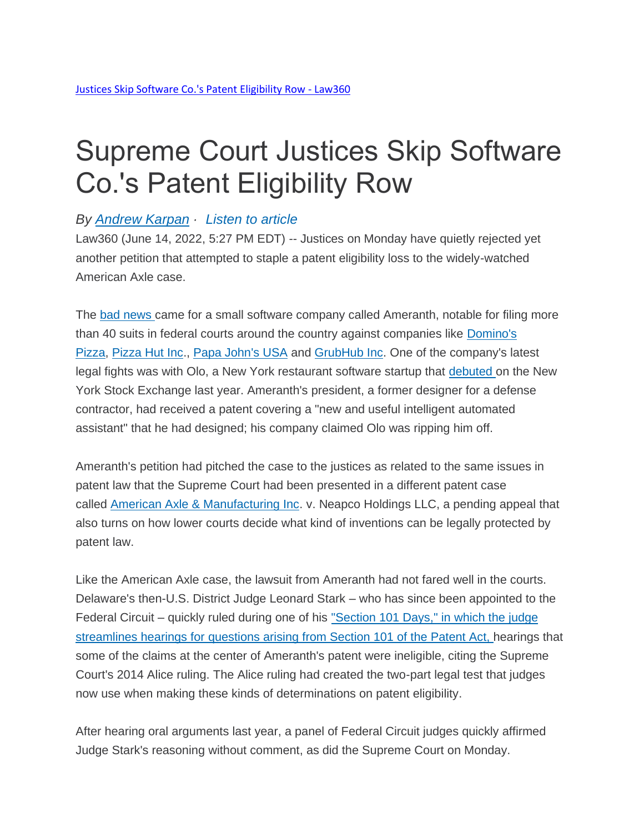## Supreme Court Justices Skip Software Co.'s Patent Eligibility Row

## *By [Andrew](https://www.law360.com/ip/articles/1502071/justices-skip-software-co-s-patent-eligibility-row) Karpan · Listen to [article](https://www.law360.com/ip/articles/1502071/justices-skip-software-co-s-patent-eligibility-row)*

Law360 (June 14, 2022, 5:27 PM EDT) -- Justices on Monday have quietly rejected yet another petition that attempted to staple a patent eligibility loss to the widely-watched American Axle case.

The bad [news](https://assets.law360news.com/1502000/1502071/061322zor_j5fl.pdf) came for a small software company called Ameranth, notable for filing more than 40 suits in federal courts around the country against companies like [Domino's](https://www.law360.com/companies/domino-s-pizza-inc)  [Pizza,](https://www.law360.com/companies/domino-s-pizza-inc) [Pizza Hut Inc.](https://www.law360.com/companies/pizza-hut-inc), [Papa John's USA](https://www.law360.com/companies/papa-john-s-international-inc) and [GrubHub Inc.](https://www.law360.com/companies/grubhub-inc) One of the company's latest legal fights was with Olo, a New York restaurant software startup that [debuted](https://www.law360.com/articles/1366038) on the New York Stock Exchange last year. Ameranth's president, a former designer for a defense contractor, had received a patent covering a "new and useful intelligent automated assistant" that he had designed; his company claimed Olo was ripping him off.

Ameranth's petition had pitched the case to the justices as related to the same issues in patent law that the Supreme Court had been presented in a different patent case called [American Axle & Manufacturing Inc.](https://www.law360.com/companies/american-axle-manufacturing-holdings-inc) v. Neapco Holdings LLC, a pending appeal that also turns on how lower courts decide what kind of inventions can be legally protected by patent law.

Like the American Axle case, the lawsuit from Ameranth had not fared well in the courts. Delaware's then-U.S. District Judge Leonard Stark – who has since been appointed to the Federal Circuit – quickly ruled during one of his ["Section](https://www.law360.com/articles/1133434) 101 Days," in which the judge [streamlines](https://www.law360.com/articles/1133434) hearings for questions arising from Section 101 of the Patent Act, hearings that some of the claims at the center of Ameranth's patent were ineligible, citing the Supreme Court's 2014 Alice ruling. The Alice ruling had created the two-part legal test that judges now use when making these kinds of determinations on patent eligibility.

After hearing oral arguments last year, a panel of Federal Circuit judges quickly affirmed Judge Stark's reasoning without comment, as did the Supreme Court on Monday.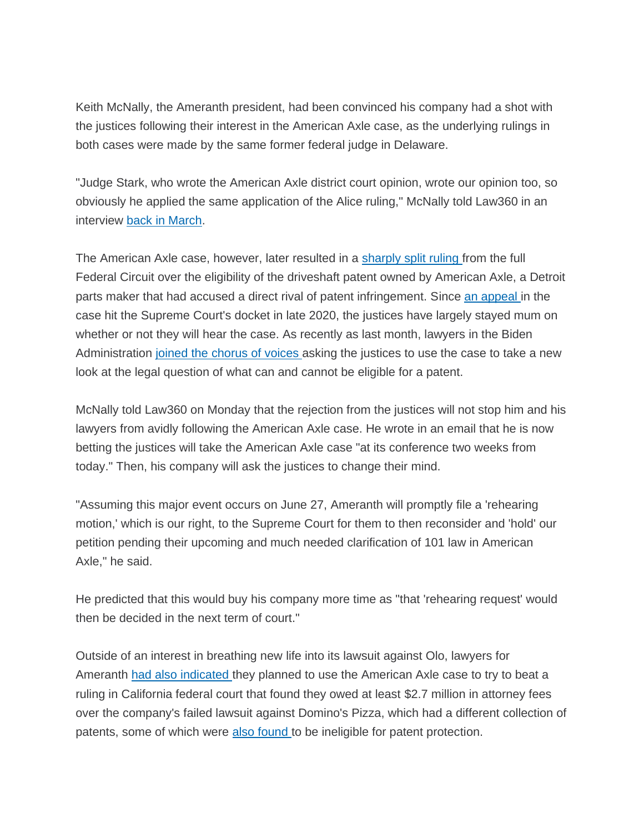Keith McNally, the Ameranth president, had been convinced his company had a shot with the justices following their interest in the American Axle case, as the underlying rulings in both cases were made by the same former federal judge in Delaware.

"Judge Stark, who wrote the American Axle district court opinion, wrote our opinion too, so obviously he applied the same application of the Alice ruling," McNally told Law360 in an interview back in [March.](https://www.law360.com/articles/1473688)

The American Axle case, however, later resulted in a [sharply](https://www.law360.com/articles/1297319) split ruling from the full Federal Circuit over the eligibility of the driveshaft patent owned by American Axle, a Detroit parts maker that had accused a direct rival of patent infringement. Since an [appeal](https://www.law360.com/articles/1341237) in the case hit the Supreme Court's docket in late 2020, the justices have largely stayed mum on whether or not they will hear the case. As recently as last month, lawyers in the Biden Administration joined the [chorus](https://www.law360.com/articles/1472941) of voices asking the justices to use the case to take a new look at the legal question of what can and cannot be eligible for a patent.

McNally told Law360 on Monday that the rejection from the justices will not stop him and his lawyers from avidly following the American Axle case. He wrote in an email that he is now betting the justices will take the American Axle case "at its conference two weeks from today." Then, his company will ask the justices to change their mind.

"Assuming this major event occurs on June 27, Ameranth will promptly file a 'rehearing motion,' which is our right, to the Supreme Court for them to then reconsider and 'hold' our petition pending their upcoming and much needed clarification of 101 law in American Axle," he said.

He predicted that this would buy his company more time as "that 'rehearing request' would then be decided in the next term of court."

Outside of an interest in breathing new life into its lawsuit against Olo, lawyers for Ameranth had also [indicated](https://www.law360.com/articles/1500815) they planned to use the American Axle case to try to beat a ruling in California federal court that found they owed at least \$2.7 million in attorney fees over the company's failed lawsuit against Domino's Pizza, which had a different collection of patents, some of which were also [found](https://www.law360.com/articles/1216042) to be ineligible for patent protection.